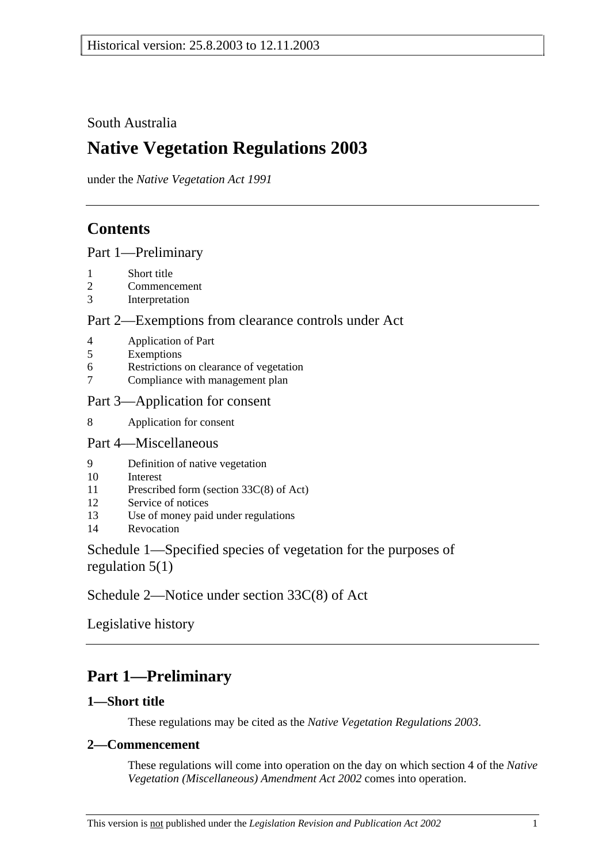## South Australia

# **Native Vegetation Regulations 2003**

under the *Native Vegetation Act 1991*

## **Contents**

Part 1—Preliminary

- 1 Short title
- 2 Commencement
- 3 Interpretation

### Part 2—Exemptions from clearance controls under Act

- 4 Application of Part
- 5 Exemptions
- 6 Restrictions on clearance of vegetation
- 7 Compliance with management plan

### Part 3—Application for consent

8 Application for consent

### Part 4—Miscellaneous

- 9 Definition of native vegetation
- 10 Interest
- 11 Prescribed form (section 33C(8) of Act)
- 12 Service of notices
- 13 Use of money paid under regulations
- 14 Revocation

## Schedule 1—Specified species of vegetation for the purposes of regulation  $5(1)$

Schedule 2—Notice under section 33C(8) of Act

Legislative history

# **Part 1—Preliminary**

## **1—Short title**

These regulations may be cited as the *Native Vegetation Regulations 2003*.

### **2—Commencement**

These regulations will come into operation on the day on which section 4 of the *Native Vegetation (Miscellaneous) Amendment Act 2002* comes into operation.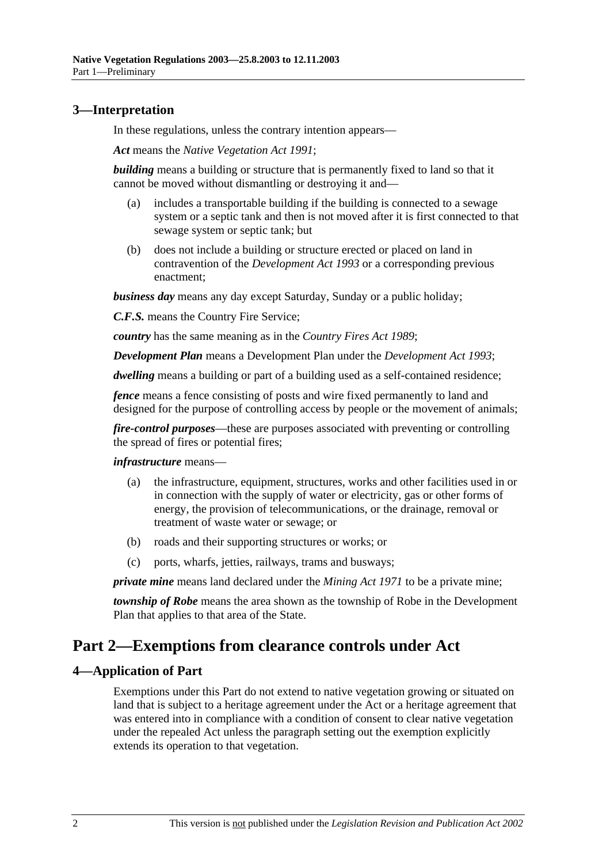### **3—Interpretation**

In these regulations, unless the contrary intention appears—

*Act* means the *Native Vegetation Act 1991*;

*building* means a building or structure that is permanently fixed to land so that it cannot be moved without dismantling or destroying it and—

- (a) includes a transportable building if the building is connected to a sewage system or a septic tank and then is not moved after it is first connected to that sewage system or septic tank; but
- (b) does not include a building or structure erected or placed on land in contravention of the *Development Act 1993* or a corresponding previous enactment;

*business day* means any day except Saturday, Sunday or a public holiday;

*C.F.S.* means the Country Fire Service;

*country* has the same meaning as in the *Country Fires Act 1989*;

*Development Plan* means a Development Plan under the *Development Act 1993*;

*dwelling* means a building or part of a building used as a self-contained residence;

*fence* means a fence consisting of posts and wire fixed permanently to land and designed for the purpose of controlling access by people or the movement of animals;

*fire-control purposes*—these are purposes associated with preventing or controlling the spread of fires or potential fires;

*infrastructure* means—

- (a) the infrastructure, equipment, structures, works and other facilities used in or in connection with the supply of water or electricity, gas or other forms of energy, the provision of telecommunications, or the drainage, removal or treatment of waste water or sewage; or
- (b) roads and their supporting structures or works; or
- (c) ports, wharfs, jetties, railways, trams and busways;

*private mine* means land declared under the *Mining Act 1971* to be a private mine;

*township of Robe* means the area shown as the township of Robe in the Development Plan that applies to that area of the State.

## **Part 2—Exemptions from clearance controls under Act**

### **4—Application of Part**

Exemptions under this Part do not extend to native vegetation growing or situated on land that is subject to a heritage agreement under the Act or a heritage agreement that was entered into in compliance with a condition of consent to clear native vegetation under the repealed Act unless the paragraph setting out the exemption explicitly extends its operation to that vegetation.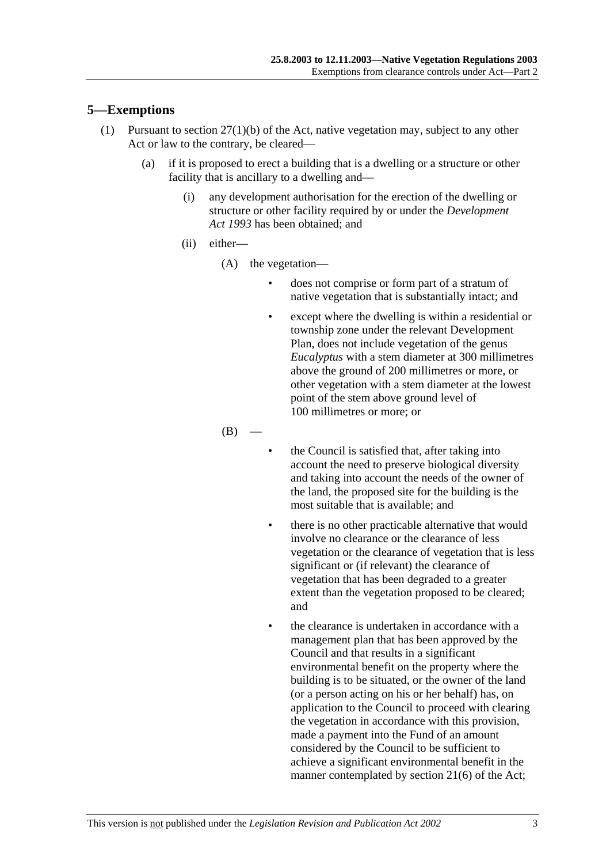### **5—Exemptions**

- (1) Pursuant to section 27(1)(b) of the Act, native vegetation may, subject to any other Act or law to the contrary, be cleared—
	- (a) if it is proposed to erect a building that is a dwelling or a structure or other facility that is ancillary to a dwelling and—
		- (i) any development authorisation for the erection of the dwelling or structure or other facility required by or under the *Development Act 1993* has been obtained; and
		- (ii) either—
			- (A) the vegetation—
				- does not comprise or form part of a stratum of native vegetation that is substantially intact; and
				- except where the dwelling is within a residential or township zone under the relevant Development Plan, does not include vegetation of the genus *Eucalyptus* with a stem diameter at 300 millimetres above the ground of 200 millimetres or more, or other vegetation with a stem diameter at the lowest point of the stem above ground level of 100 millimetres or more; or

 $(B)$ 

- the Council is satisfied that, after taking into account the need to preserve biological diversity and taking into account the needs of the owner of the land, the proposed site for the building is the most suitable that is available; and
- there is no other practicable alternative that would involve no clearance or the clearance of less vegetation or the clearance of vegetation that is less significant or (if relevant) the clearance of vegetation that has been degraded to a greater extent than the vegetation proposed to be cleared; and
- the clearance is undertaken in accordance with a management plan that has been approved by the Council and that results in a significant environmental benefit on the property where the building is to be situated, or the owner of the land (or a person acting on his or her behalf) has, on application to the Council to proceed with clearing the vegetation in accordance with this provision, made a payment into the Fund of an amount considered by the Council to be sufficient to achieve a significant environmental benefit in the manner contemplated by section 21(6) of the Act;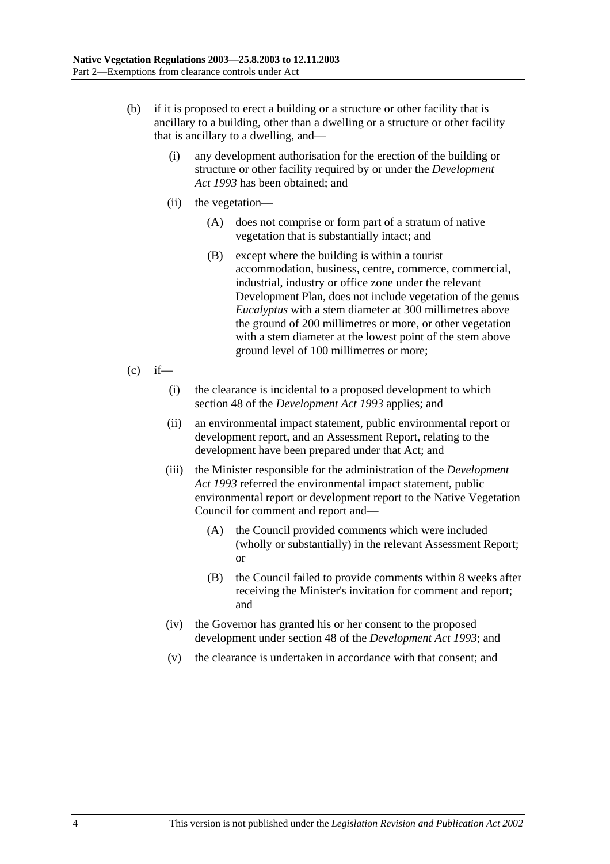- (b) if it is proposed to erect a building or a structure or other facility that is ancillary to a building, other than a dwelling or a structure or other facility that is ancillary to a dwelling, and—
	- (i) any development authorisation for the erection of the building or structure or other facility required by or under the *Development Act 1993* has been obtained; and
	- (ii) the vegetation—
		- (A) does not comprise or form part of a stratum of native vegetation that is substantially intact; and
		- (B) except where the building is within a tourist accommodation, business, centre, commerce, commercial, industrial, industry or office zone under the relevant Development Plan, does not include vegetation of the genus *Eucalyptus* with a stem diameter at 300 millimetres above the ground of 200 millimetres or more, or other vegetation with a stem diameter at the lowest point of the stem above ground level of 100 millimetres or more;
- $(c)$  if—
	- (i) the clearance is incidental to a proposed development to which section 48 of the *Development Act 1993* applies; and
	- (ii) an environmental impact statement, public environmental report or development report, and an Assessment Report, relating to the development have been prepared under that Act; and
	- (iii) the Minister responsible for the administration of the *Development Act 1993* referred the environmental impact statement, public environmental report or development report to the Native Vegetation Council for comment and report and—
		- (A) the Council provided comments which were included (wholly or substantially) in the relevant Assessment Report; or
		- (B) the Council failed to provide comments within 8 weeks after receiving the Minister's invitation for comment and report; and
	- (iv) the Governor has granted his or her consent to the proposed development under section 48 of the *Development Act 1993*; and
	- (v) the clearance is undertaken in accordance with that consent; and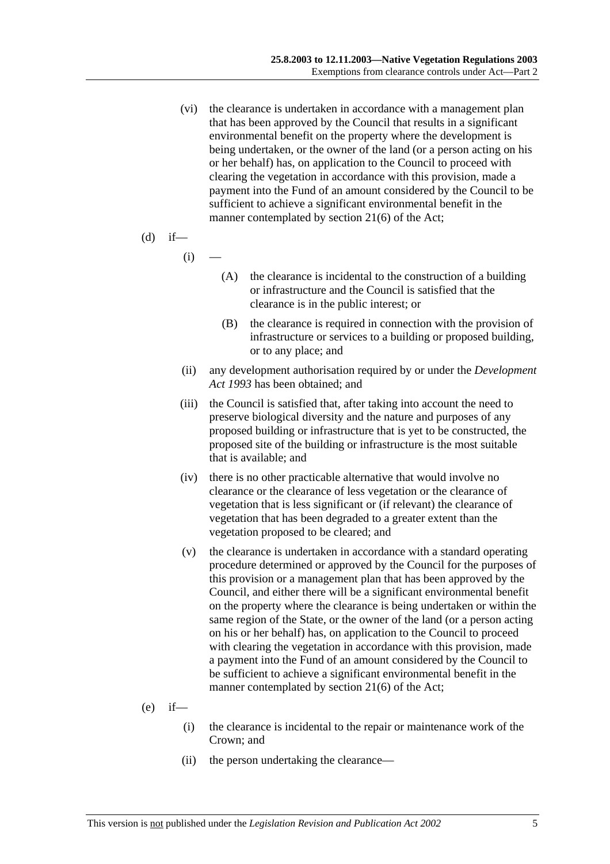(vi) the clearance is undertaken in accordance with a management plan that has been approved by the Council that results in a significant environmental benefit on the property where the development is being undertaken, or the owner of the land (or a person acting on his or her behalf) has, on application to the Council to proceed with clearing the vegetation in accordance with this provision, made a payment into the Fund of an amount considered by the Council to be sufficient to achieve a significant environmental benefit in the manner contemplated by section 21(6) of the Act;

(d) if—

 $(i)$ 

- (A) the clearance is incidental to the construction of a building or infrastructure and the Council is satisfied that the clearance is in the public interest; or
- (B) the clearance is required in connection with the provision of infrastructure or services to a building or proposed building, or to any place; and
- (ii) any development authorisation required by or under the *Development Act 1993* has been obtained; and
- (iii) the Council is satisfied that, after taking into account the need to preserve biological diversity and the nature and purposes of any proposed building or infrastructure that is yet to be constructed, the proposed site of the building or infrastructure is the most suitable that is available; and
- (iv) there is no other practicable alternative that would involve no clearance or the clearance of less vegetation or the clearance of vegetation that is less significant or (if relevant) the clearance of vegetation that has been degraded to a greater extent than the vegetation proposed to be cleared; and
- (v) the clearance is undertaken in accordance with a standard operating procedure determined or approved by the Council for the purposes of this provision or a management plan that has been approved by the Council, and either there will be a significant environmental benefit on the property where the clearance is being undertaken or within the same region of the State, or the owner of the land (or a person acting on his or her behalf) has, on application to the Council to proceed with clearing the vegetation in accordance with this provision, made a payment into the Fund of an amount considered by the Council to be sufficient to achieve a significant environmental benefit in the manner contemplated by section 21(6) of the Act;
- $(e)$  if—
	- (i) the clearance is incidental to the repair or maintenance work of the Crown; and
	- (ii) the person undertaking the clearance—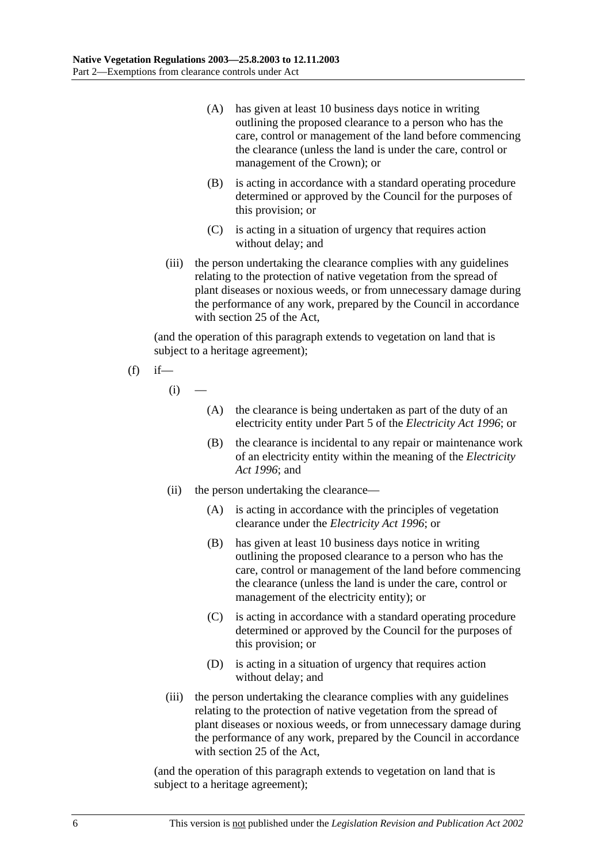- (A) has given at least 10 business days notice in writing outlining the proposed clearance to a person who has the care, control or management of the land before commencing the clearance (unless the land is under the care, control or management of the Crown); or
- (B) is acting in accordance with a standard operating procedure determined or approved by the Council for the purposes of this provision; or
- (C) is acting in a situation of urgency that requires action without delay; and
- (iii) the person undertaking the clearance complies with any guidelines relating to the protection of native vegetation from the spread of plant diseases or noxious weeds, or from unnecessary damage during the performance of any work, prepared by the Council in accordance with section 25 of the Act,

(and the operation of this paragraph extends to vegetation on land that is subject to a heritage agreement);

$$
(f) \quad \text{if} \quad
$$

 $(i)$ 

- (A) the clearance is being undertaken as part of the duty of an electricity entity under Part 5 of the *Electricity Act 1996*; or
- (B) the clearance is incidental to any repair or maintenance work of an electricity entity within the meaning of the *Electricity Act 1996*; and
- (ii) the person undertaking the clearance—
	- (A) is acting in accordance with the principles of vegetation clearance under the *Electricity Act 1996*; or
	- (B) has given at least 10 business days notice in writing outlining the proposed clearance to a person who has the care, control or management of the land before commencing the clearance (unless the land is under the care, control or management of the electricity entity); or
	- (C) is acting in accordance with a standard operating procedure determined or approved by the Council for the purposes of this provision; or
	- (D) is acting in a situation of urgency that requires action without delay; and
- (iii) the person undertaking the clearance complies with any guidelines relating to the protection of native vegetation from the spread of plant diseases or noxious weeds, or from unnecessary damage during the performance of any work, prepared by the Council in accordance with section 25 of the Act,

(and the operation of this paragraph extends to vegetation on land that is subject to a heritage agreement);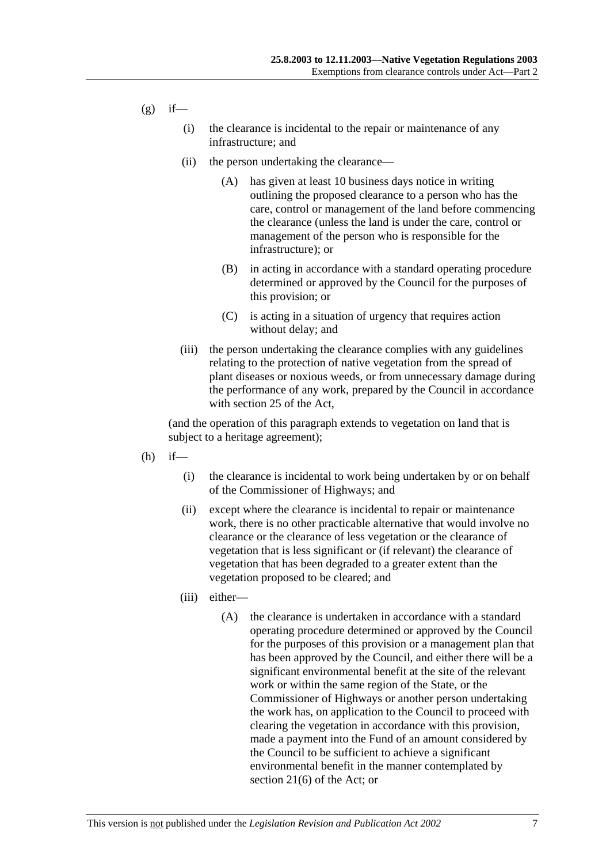$(g)$  if—

- (i) the clearance is incidental to the repair or maintenance of any infrastructure; and
- (ii) the person undertaking the clearance—
	- (A) has given at least 10 business days notice in writing outlining the proposed clearance to a person who has the care, control or management of the land before commencing the clearance (unless the land is under the care, control or management of the person who is responsible for the infrastructure); or
	- (B) in acting in accordance with a standard operating procedure determined or approved by the Council for the purposes of this provision; or
	- (C) is acting in a situation of urgency that requires action without delay; and
- (iii) the person undertaking the clearance complies with any guidelines relating to the protection of native vegetation from the spread of plant diseases or noxious weeds, or from unnecessary damage during the performance of any work, prepared by the Council in accordance with section 25 of the Act,

(and the operation of this paragraph extends to vegetation on land that is subject to a heritage agreement);

- $(h)$  if—
	- (i) the clearance is incidental to work being undertaken by or on behalf of the Commissioner of Highways; and
	- (ii) except where the clearance is incidental to repair or maintenance work, there is no other practicable alternative that would involve no clearance or the clearance of less vegetation or the clearance of vegetation that is less significant or (if relevant) the clearance of vegetation that has been degraded to a greater extent than the vegetation proposed to be cleared; and
	- (iii) either—
		- (A) the clearance is undertaken in accordance with a standard operating procedure determined or approved by the Council for the purposes of this provision or a management plan that has been approved by the Council, and either there will be a significant environmental benefit at the site of the relevant work or within the same region of the State, or the Commissioner of Highways or another person undertaking the work has, on application to the Council to proceed with clearing the vegetation in accordance with this provision, made a payment into the Fund of an amount considered by the Council to be sufficient to achieve a significant environmental benefit in the manner contemplated by section 21(6) of the Act; or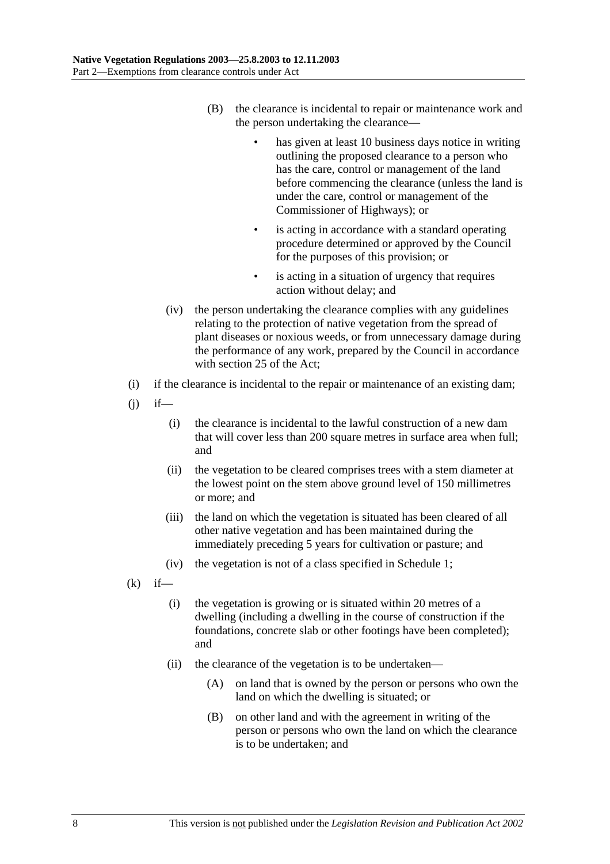- (B) the clearance is incidental to repair or maintenance work and the person undertaking the clearance
	- has given at least 10 business days notice in writing outlining the proposed clearance to a person who has the care, control or management of the land before commencing the clearance (unless the land is under the care, control or management of the Commissioner of Highways); or
	- is acting in accordance with a standard operating procedure determined or approved by the Council for the purposes of this provision; or
	- is acting in a situation of urgency that requires action without delay; and
- (iv) the person undertaking the clearance complies with any guidelines relating to the protection of native vegetation from the spread of plant diseases or noxious weeds, or from unnecessary damage during the performance of any work, prepared by the Council in accordance with section 25 of the Act;
- (i) if the clearance is incidental to the repair or maintenance of an existing dam;
- $(i)$  if—
	- (i) the clearance is incidental to the lawful construction of a new dam that will cover less than 200 square metres in surface area when full; and
	- (ii) the vegetation to be cleared comprises trees with a stem diameter at the lowest point on the stem above ground level of 150 millimetres or more; and
	- (iii) the land on which the vegetation is situated has been cleared of all other native vegetation and has been maintained during the immediately preceding 5 years for cultivation or pasture; and
	- (iv) the vegetation is not of a class specified in Schedule 1;
- $(k)$  if—
	- (i) the vegetation is growing or is situated within 20 metres of a dwelling (including a dwelling in the course of construction if the foundations, concrete slab or other footings have been completed); and
	- (ii) the clearance of the vegetation is to be undertaken—
		- (A) on land that is owned by the person or persons who own the land on which the dwelling is situated; or
		- (B) on other land and with the agreement in writing of the person or persons who own the land on which the clearance is to be undertaken; and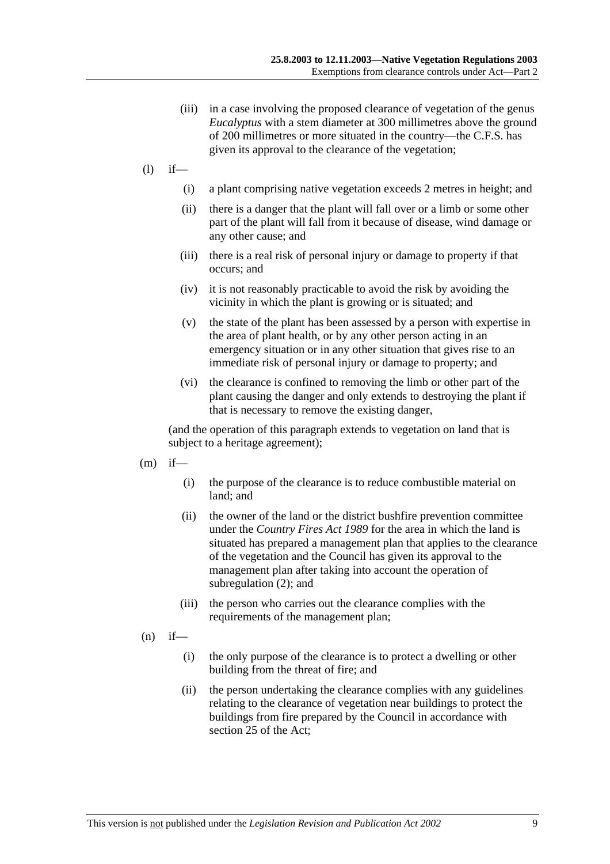- (iii) in a case involving the proposed clearance of vegetation of the genus *Eucalyptus* with a stem diameter at 300 millimetres above the ground of 200 millimetres or more situated in the country—the C.F.S. has given its approval to the clearance of the vegetation;
- $(l)$  if—
	- (i) a plant comprising native vegetation exceeds 2 metres in height; and
	- (ii) there is a danger that the plant will fall over or a limb or some other part of the plant will fall from it because of disease, wind damage or any other cause; and
	- (iii) there is a real risk of personal injury or damage to property if that occurs; and
	- (iv) it is not reasonably practicable to avoid the risk by avoiding the vicinity in which the plant is growing or is situated; and
	- (v) the state of the plant has been assessed by a person with expertise in the area of plant health, or by any other person acting in an emergency situation or in any other situation that gives rise to an immediate risk of personal injury or damage to property; and
	- (vi) the clearance is confined to removing the limb or other part of the plant causing the danger and only extends to destroying the plant if that is necessary to remove the existing danger,

(and the operation of this paragraph extends to vegetation on land that is subject to a heritage agreement);

- $(m)$  if—
	- (i) the purpose of the clearance is to reduce combustible material on land; and
	- (ii) the owner of the land or the district bushfire prevention committee under the *Country Fires Act 1989* for the area in which the land is situated has prepared a management plan that applies to the clearance of the vegetation and the Council has given its approval to the management plan after taking into account the operation of subregulation (2); and
	- (iii) the person who carries out the clearance complies with the requirements of the management plan;
- $(n)$  if—
	- (i) the only purpose of the clearance is to protect a dwelling or other building from the threat of fire; and
	- (ii) the person undertaking the clearance complies with any guidelines relating to the clearance of vegetation near buildings to protect the buildings from fire prepared by the Council in accordance with section 25 of the Act;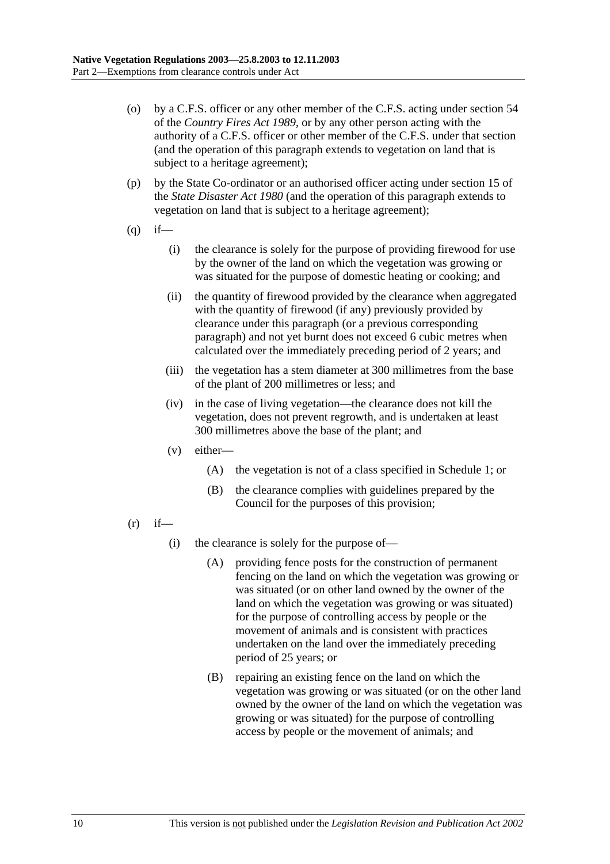- (o) by a C.F.S. officer or any other member of the C.F.S. acting under section 54 of the *Country Fires Act 1989*, or by any other person acting with the authority of a C.F.S. officer or other member of the C.F.S. under that section (and the operation of this paragraph extends to vegetation on land that is subject to a heritage agreement);
- (p) by the State Co-ordinator or an authorised officer acting under section 15 of the *State Disaster Act 1980* (and the operation of this paragraph extends to vegetation on land that is subject to a heritage agreement);
- $(q)$  if—
	- (i) the clearance is solely for the purpose of providing firewood for use by the owner of the land on which the vegetation was growing or was situated for the purpose of domestic heating or cooking; and
	- (ii) the quantity of firewood provided by the clearance when aggregated with the quantity of firewood (if any) previously provided by clearance under this paragraph (or a previous corresponding paragraph) and not yet burnt does not exceed 6 cubic metres when calculated over the immediately preceding period of 2 years; and
	- (iii) the vegetation has a stem diameter at 300 millimetres from the base of the plant of 200 millimetres or less; and
	- (iv) in the case of living vegetation—the clearance does not kill the vegetation, does not prevent regrowth, and is undertaken at least 300 millimetres above the base of the plant; and
	- (v) either—
		- (A) the vegetation is not of a class specified in Schedule 1; or
		- (B) the clearance complies with guidelines prepared by the Council for the purposes of this provision;
- $(r)$  if—
	- (i) the clearance is solely for the purpose of—
		- (A) providing fence posts for the construction of permanent fencing on the land on which the vegetation was growing or was situated (or on other land owned by the owner of the land on which the vegetation was growing or was situated) for the purpose of controlling access by people or the movement of animals and is consistent with practices undertaken on the land over the immediately preceding period of 25 years; or
		- (B) repairing an existing fence on the land on which the vegetation was growing or was situated (or on the other land owned by the owner of the land on which the vegetation was growing or was situated) for the purpose of controlling access by people or the movement of animals; and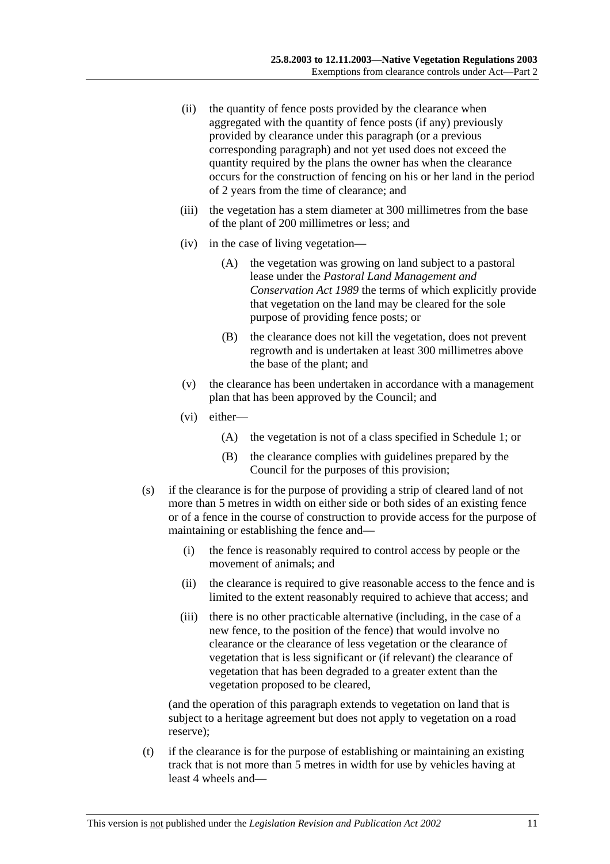- (ii) the quantity of fence posts provided by the clearance when aggregated with the quantity of fence posts (if any) previously provided by clearance under this paragraph (or a previous corresponding paragraph) and not yet used does not exceed the quantity required by the plans the owner has when the clearance occurs for the construction of fencing on his or her land in the period of 2 years from the time of clearance; and
- (iii) the vegetation has a stem diameter at 300 millimetres from the base of the plant of 200 millimetres or less; and
- (iv) in the case of living vegetation—
	- (A) the vegetation was growing on land subject to a pastoral lease under the *Pastoral Land Management and Conservation Act 1989* the terms of which explicitly provide that vegetation on the land may be cleared for the sole purpose of providing fence posts; or
	- (B) the clearance does not kill the vegetation, does not prevent regrowth and is undertaken at least 300 millimetres above the base of the plant; and
- (v) the clearance has been undertaken in accordance with a management plan that has been approved by the Council; and
- (vi) either—
	- (A) the vegetation is not of a class specified in Schedule 1; or
	- (B) the clearance complies with guidelines prepared by the Council for the purposes of this provision;
- (s) if the clearance is for the purpose of providing a strip of cleared land of not more than 5 metres in width on either side or both sides of an existing fence or of a fence in the course of construction to provide access for the purpose of maintaining or establishing the fence and—
	- (i) the fence is reasonably required to control access by people or the movement of animals; and
	- (ii) the clearance is required to give reasonable access to the fence and is limited to the extent reasonably required to achieve that access; and
	- (iii) there is no other practicable alternative (including, in the case of a new fence, to the position of the fence) that would involve no clearance or the clearance of less vegetation or the clearance of vegetation that is less significant or (if relevant) the clearance of vegetation that has been degraded to a greater extent than the vegetation proposed to be cleared,

(and the operation of this paragraph extends to vegetation on land that is subject to a heritage agreement but does not apply to vegetation on a road reserve);

 (t) if the clearance is for the purpose of establishing or maintaining an existing track that is not more than 5 metres in width for use by vehicles having at least 4 wheels and—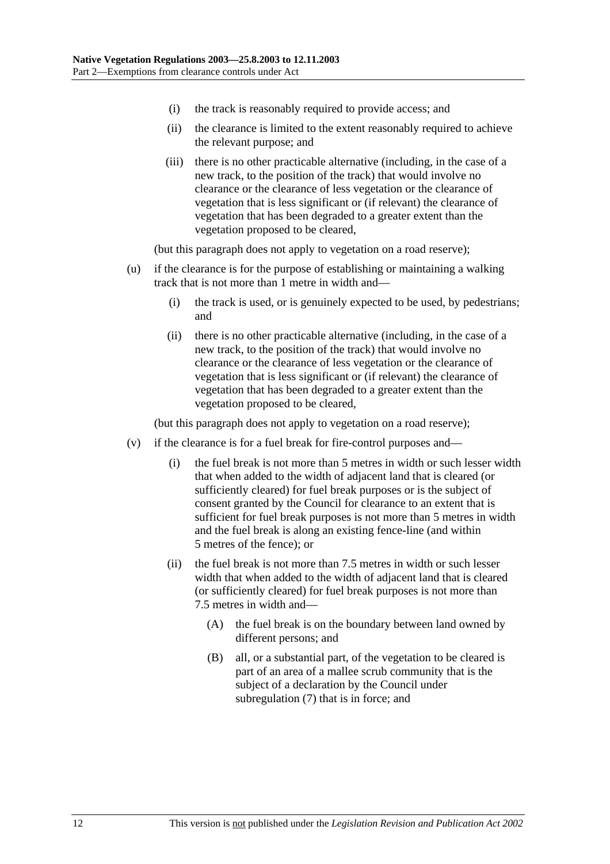- (i) the track is reasonably required to provide access; and
- (ii) the clearance is limited to the extent reasonably required to achieve the relevant purpose; and
- (iii) there is no other practicable alternative (including, in the case of a new track, to the position of the track) that would involve no clearance or the clearance of less vegetation or the clearance of vegetation that is less significant or (if relevant) the clearance of vegetation that has been degraded to a greater extent than the vegetation proposed to be cleared,

(but this paragraph does not apply to vegetation on a road reserve);

- (u) if the clearance is for the purpose of establishing or maintaining a walking track that is not more than 1 metre in width and—
	- (i) the track is used, or is genuinely expected to be used, by pedestrians; and
	- (ii) there is no other practicable alternative (including, in the case of a new track, to the position of the track) that would involve no clearance or the clearance of less vegetation or the clearance of vegetation that is less significant or (if relevant) the clearance of vegetation that has been degraded to a greater extent than the vegetation proposed to be cleared,

(but this paragraph does not apply to vegetation on a road reserve);

- (v) if the clearance is for a fuel break for fire-control purposes and—
	- (i) the fuel break is not more than 5 metres in width or such lesser width that when added to the width of adjacent land that is cleared (or sufficiently cleared) for fuel break purposes or is the subject of consent granted by the Council for clearance to an extent that is sufficient for fuel break purposes is not more than 5 metres in width and the fuel break is along an existing fence-line (and within 5 metres of the fence); or
	- (ii) the fuel break is not more than 7.5 metres in width or such lesser width that when added to the width of adjacent land that is cleared (or sufficiently cleared) for fuel break purposes is not more than 7.5 metres in width and—
		- (A) the fuel break is on the boundary between land owned by different persons; and
		- (B) all, or a substantial part, of the vegetation to be cleared is part of an area of a mallee scrub community that is the subject of a declaration by the Council under subregulation (7) that is in force; and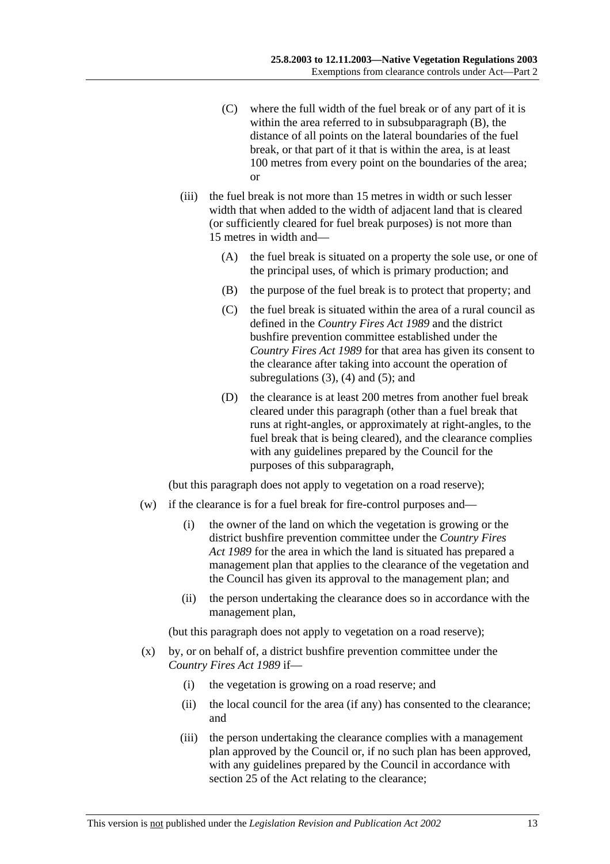- (C) where the full width of the fuel break or of any part of it is within the area referred to in subsubparagraph (B), the distance of all points on the lateral boundaries of the fuel break, or that part of it that is within the area, is at least 100 metres from every point on the boundaries of the area; or
- (iii) the fuel break is not more than 15 metres in width or such lesser width that when added to the width of adjacent land that is cleared (or sufficiently cleared for fuel break purposes) is not more than 15 metres in width and—
	- (A) the fuel break is situated on a property the sole use, or one of the principal uses, of which is primary production; and
	- (B) the purpose of the fuel break is to protect that property; and
	- (C) the fuel break is situated within the area of a rural council as defined in the *Country Fires Act 1989* and the district bushfire prevention committee established under the *Country Fires Act 1989* for that area has given its consent to the clearance after taking into account the operation of subregulations  $(3)$ ,  $(4)$  and  $(5)$ ; and
	- (D) the clearance is at least 200 metres from another fuel break cleared under this paragraph (other than a fuel break that runs at right-angles, or approximately at right-angles, to the fuel break that is being cleared), and the clearance complies with any guidelines prepared by the Council for the purposes of this subparagraph,

(but this paragraph does not apply to vegetation on a road reserve);

- (w) if the clearance is for a fuel break for fire-control purposes and—
	- (i) the owner of the land on which the vegetation is growing or the district bushfire prevention committee under the *Country Fires Act 1989* for the area in which the land is situated has prepared a management plan that applies to the clearance of the vegetation and the Council has given its approval to the management plan; and
	- (ii) the person undertaking the clearance does so in accordance with the management plan,

(but this paragraph does not apply to vegetation on a road reserve);

- (x) by, or on behalf of, a district bushfire prevention committee under the *Country Fires Act 1989* if—
	- (i) the vegetation is growing on a road reserve; and
	- (ii) the local council for the area (if any) has consented to the clearance; and
	- (iii) the person undertaking the clearance complies with a management plan approved by the Council or, if no such plan has been approved, with any guidelines prepared by the Council in accordance with section 25 of the Act relating to the clearance;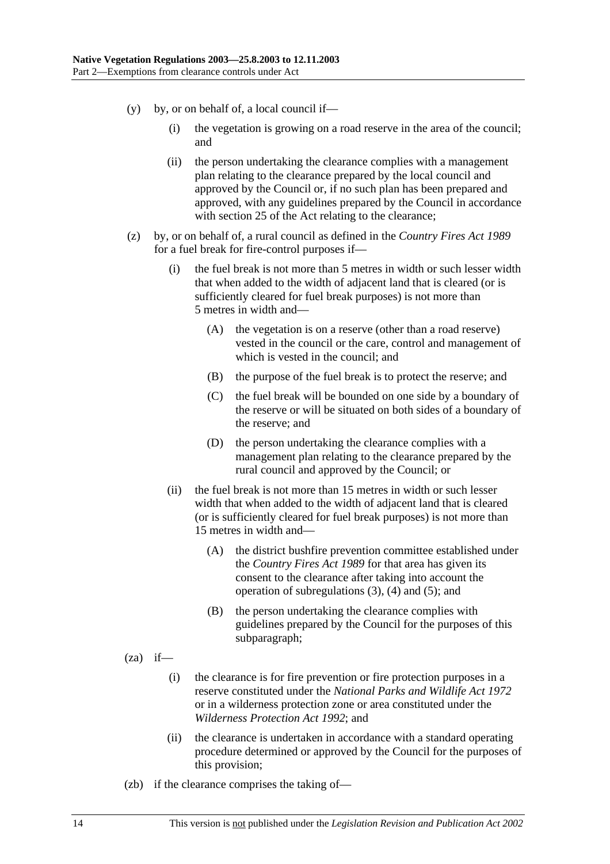- $(v)$  by, or on behalf of, a local council if—
	- (i) the vegetation is growing on a road reserve in the area of the council; and
	- (ii) the person undertaking the clearance complies with a management plan relating to the clearance prepared by the local council and approved by the Council or, if no such plan has been prepared and approved, with any guidelines prepared by the Council in accordance with section 25 of the Act relating to the clearance;
- (z) by, or on behalf of, a rural council as defined in the *Country Fires Act 1989* for a fuel break for fire-control purposes if—
	- (i) the fuel break is not more than 5 metres in width or such lesser width that when added to the width of adjacent land that is cleared (or is sufficiently cleared for fuel break purposes) is not more than 5 metres in width and—
		- (A) the vegetation is on a reserve (other than a road reserve) vested in the council or the care, control and management of which is vested in the council; and
		- (B) the purpose of the fuel break is to protect the reserve; and
		- (C) the fuel break will be bounded on one side by a boundary of the reserve or will be situated on both sides of a boundary of the reserve; and
		- (D) the person undertaking the clearance complies with a management plan relating to the clearance prepared by the rural council and approved by the Council; or
	- (ii) the fuel break is not more than 15 metres in width or such lesser width that when added to the width of adjacent land that is cleared (or is sufficiently cleared for fuel break purposes) is not more than 15 metres in width and—
		- (A) the district bushfire prevention committee established under the *Country Fires Act 1989* for that area has given its consent to the clearance after taking into account the operation of subregulations (3), (4) and (5); and
		- (B) the person undertaking the clearance complies with guidelines prepared by the Council for the purposes of this subparagraph;
- $(za)$  if—
	- (i) the clearance is for fire prevention or fire protection purposes in a reserve constituted under the *National Parks and Wildlife Act 1972* or in a wilderness protection zone or area constituted under the *Wilderness Protection Act 1992*; and
	- (ii) the clearance is undertaken in accordance with a standard operating procedure determined or approved by the Council for the purposes of this provision;
- (zb) if the clearance comprises the taking of—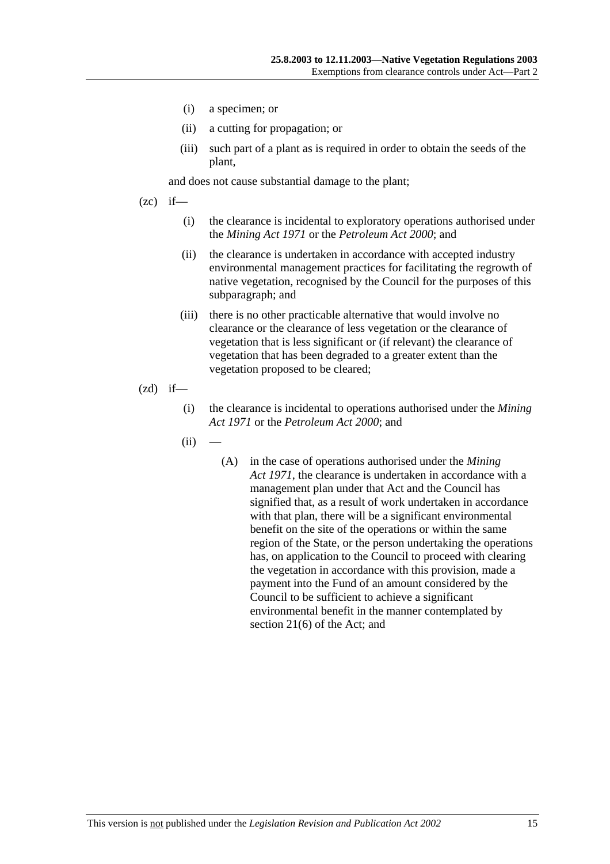- (i) a specimen; or
- (ii) a cutting for propagation; or
- (iii) such part of a plant as is required in order to obtain the seeds of the plant,

and does not cause substantial damage to the plant;

- $(zc)$  if—
	- (i) the clearance is incidental to exploratory operations authorised under the *Mining Act 1971* or the *Petroleum Act 2000*; and
	- (ii) the clearance is undertaken in accordance with accepted industry environmental management practices for facilitating the regrowth of native vegetation, recognised by the Council for the purposes of this subparagraph; and
	- (iii) there is no other practicable alternative that would involve no clearance or the clearance of less vegetation or the clearance of vegetation that is less significant or (if relevant) the clearance of vegetation that has been degraded to a greater extent than the vegetation proposed to be cleared;
- $(zd)$  if—
	- (i) the clearance is incidental to operations authorised under the *Mining Act 1971* or the *Petroleum Act 2000*; and
	- $(ii)$
- (A) in the case of operations authorised under the *Mining Act 1971*, the clearance is undertaken in accordance with a management plan under that Act and the Council has signified that, as a result of work undertaken in accordance with that plan, there will be a significant environmental benefit on the site of the operations or within the same region of the State, or the person undertaking the operations has, on application to the Council to proceed with clearing the vegetation in accordance with this provision, made a payment into the Fund of an amount considered by the Council to be sufficient to achieve a significant environmental benefit in the manner contemplated by section 21(6) of the Act; and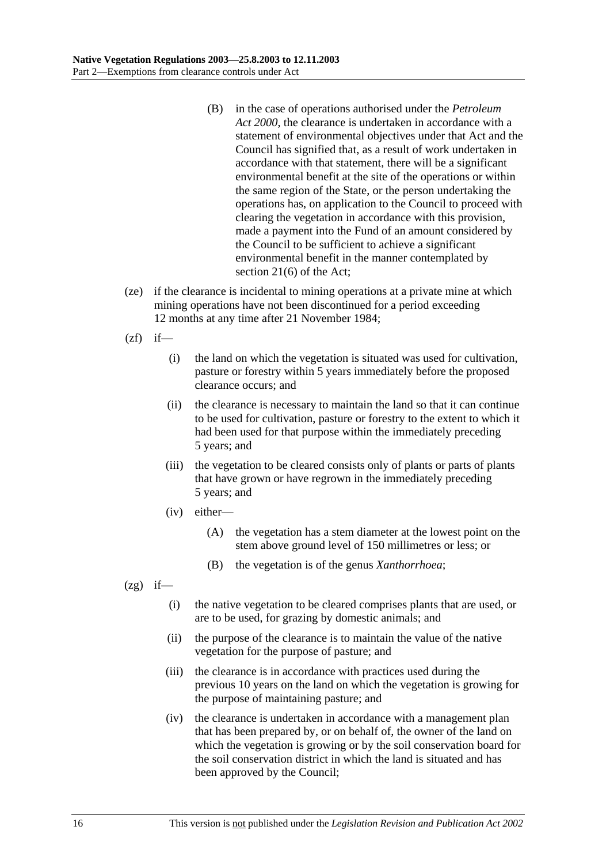- (B) in the case of operations authorised under the *Petroleum Act 2000*, the clearance is undertaken in accordance with a statement of environmental objectives under that Act and the Council has signified that, as a result of work undertaken in accordance with that statement, there will be a significant environmental benefit at the site of the operations or within the same region of the State, or the person undertaking the operations has, on application to the Council to proceed with clearing the vegetation in accordance with this provision, made a payment into the Fund of an amount considered by the Council to be sufficient to achieve a significant environmental benefit in the manner contemplated by section 21(6) of the Act;
- (ze) if the clearance is incidental to mining operations at a private mine at which mining operations have not been discontinued for a period exceeding 12 months at any time after 21 November 1984;
- $(zf)$  if—
	- (i) the land on which the vegetation is situated was used for cultivation, pasture or forestry within 5 years immediately before the proposed clearance occurs; and
	- (ii) the clearance is necessary to maintain the land so that it can continue to be used for cultivation, pasture or forestry to the extent to which it had been used for that purpose within the immediately preceding 5 years; and
	- (iii) the vegetation to be cleared consists only of plants or parts of plants that have grown or have regrown in the immediately preceding 5 years; and
	- (iv) either—
		- (A) the vegetation has a stem diameter at the lowest point on the stem above ground level of 150 millimetres or less; or
		- (B) the vegetation is of the genus *Xanthorrhoea*;
- $(2g)$  if—
	- (i) the native vegetation to be cleared comprises plants that are used, or are to be used, for grazing by domestic animals; and
	- (ii) the purpose of the clearance is to maintain the value of the native vegetation for the purpose of pasture; and
	- (iii) the clearance is in accordance with practices used during the previous 10 years on the land on which the vegetation is growing for the purpose of maintaining pasture; and
	- (iv) the clearance is undertaken in accordance with a management plan that has been prepared by, or on behalf of, the owner of the land on which the vegetation is growing or by the soil conservation board for the soil conservation district in which the land is situated and has been approved by the Council;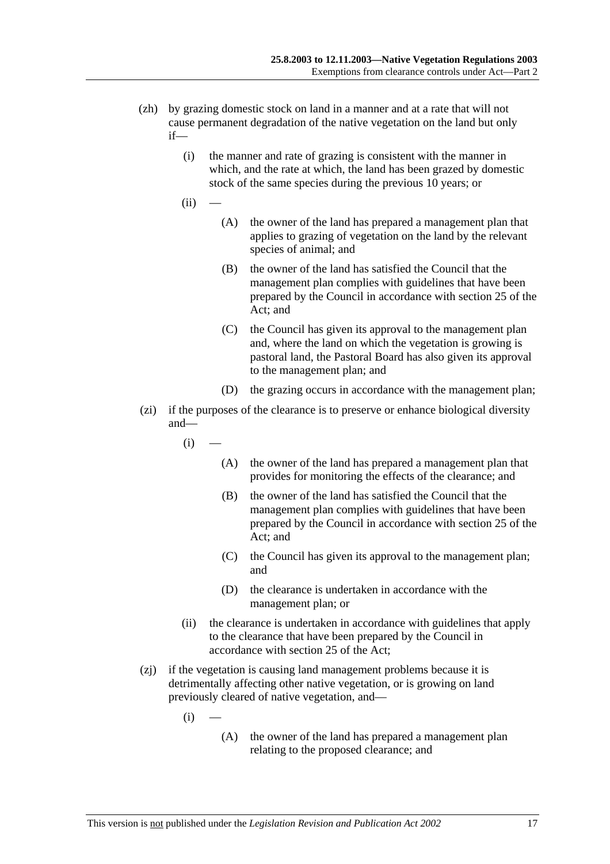- (zh) by grazing domestic stock on land in a manner and at a rate that will not cause permanent degradation of the native vegetation on the land but only if—
	- (i) the manner and rate of grazing is consistent with the manner in which, and the rate at which, the land has been grazed by domestic stock of the same species during the previous 10 years; or
	- $(ii)$
- (A) the owner of the land has prepared a management plan that applies to grazing of vegetation on the land by the relevant species of animal; and
- (B) the owner of the land has satisfied the Council that the management plan complies with guidelines that have been prepared by the Council in accordance with section 25 of the Act; and
- (C) the Council has given its approval to the management plan and, where the land on which the vegetation is growing is pastoral land, the Pastoral Board has also given its approval to the management plan; and
- (D) the grazing occurs in accordance with the management plan;
- (zi) if the purposes of the clearance is to preserve or enhance biological diversity and—

$$
(i) \quad -
$$

- (A) the owner of the land has prepared a management plan that provides for monitoring the effects of the clearance; and
- (B) the owner of the land has satisfied the Council that the management plan complies with guidelines that have been prepared by the Council in accordance with section 25 of the Act; and
- (C) the Council has given its approval to the management plan; and
- (D) the clearance is undertaken in accordance with the management plan; or
- (ii) the clearance is undertaken in accordance with guidelines that apply to the clearance that have been prepared by the Council in accordance with section 25 of the Act;
- (zj) if the vegetation is causing land management problems because it is detrimentally affecting other native vegetation, or is growing on land previously cleared of native vegetation, and—
	- $(i)$
- (A) the owner of the land has prepared a management plan relating to the proposed clearance; and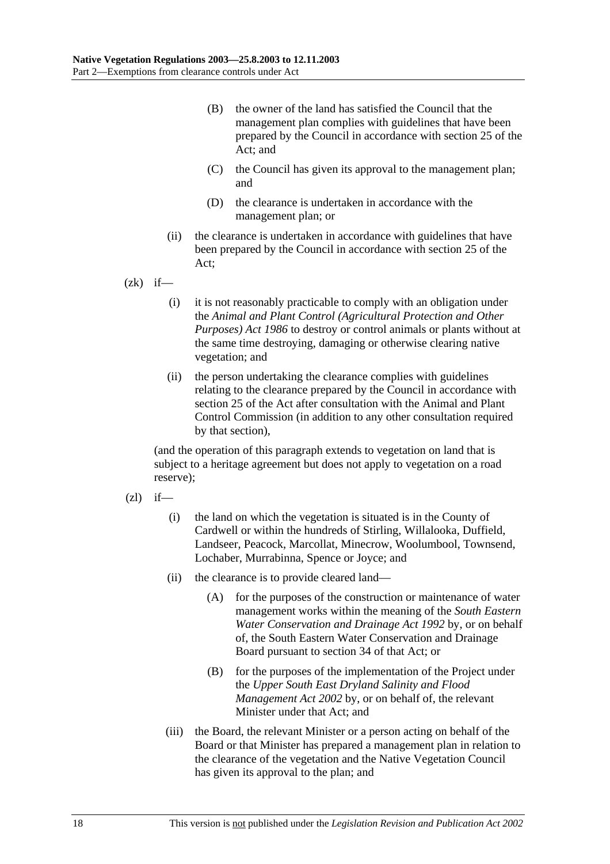- (B) the owner of the land has satisfied the Council that the management plan complies with guidelines that have been prepared by the Council in accordance with section 25 of the Act; and
- (C) the Council has given its approval to the management plan; and
- (D) the clearance is undertaken in accordance with the management plan; or
- (ii) the clearance is undertaken in accordance with guidelines that have been prepared by the Council in accordance with section 25 of the Act;

 $(zk)$  if—

- (i) it is not reasonably practicable to comply with an obligation under the *Animal and Plant Control (Agricultural Protection and Other Purposes) Act 1986* to destroy or control animals or plants without at the same time destroying, damaging or otherwise clearing native vegetation; and
- (ii) the person undertaking the clearance complies with guidelines relating to the clearance prepared by the Council in accordance with section 25 of the Act after consultation with the Animal and Plant Control Commission (in addition to any other consultation required by that section),

(and the operation of this paragraph extends to vegetation on land that is subject to a heritage agreement but does not apply to vegetation on a road reserve);

- $(zl)$  if—
	- (i) the land on which the vegetation is situated is in the County of Cardwell or within the hundreds of Stirling, Willalooka, Duffield, Landseer, Peacock, Marcollat, Minecrow, Woolumbool, Townsend, Lochaber, Murrabinna, Spence or Joyce; and
	- (ii) the clearance is to provide cleared land—
		- (A) for the purposes of the construction or maintenance of water management works within the meaning of the *South Eastern Water Conservation and Drainage Act 1992* by, or on behalf of, the South Eastern Water Conservation and Drainage Board pursuant to section 34 of that Act; or
		- (B) for the purposes of the implementation of the Project under the *Upper South East Dryland Salinity and Flood Management Act 2002* by, or on behalf of, the relevant Minister under that Act; and
	- (iii) the Board, the relevant Minister or a person acting on behalf of the Board or that Minister has prepared a management plan in relation to the clearance of the vegetation and the Native Vegetation Council has given its approval to the plan; and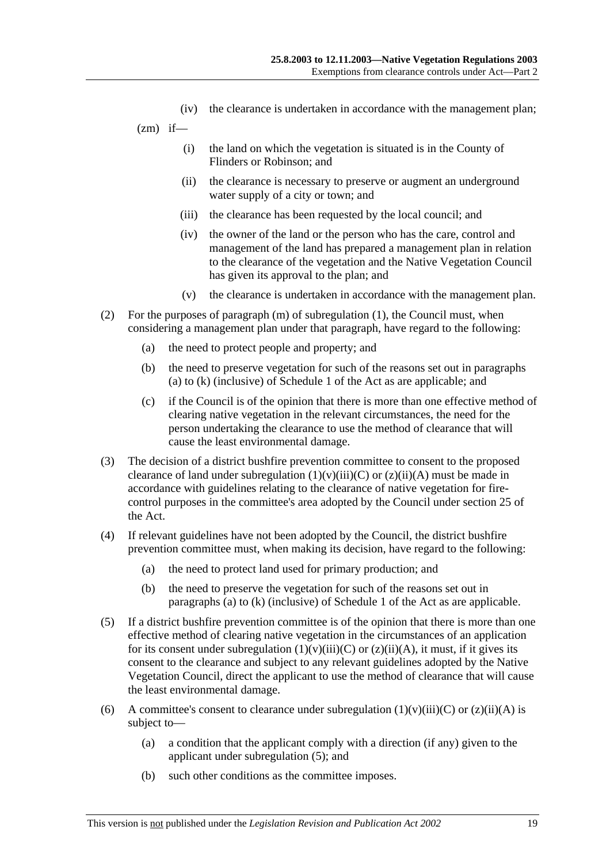- (iv) the clearance is undertaken in accordance with the management plan;
- $(zm)$  if—
	- (i) the land on which the vegetation is situated is in the County of Flinders or Robinson; and
	- (ii) the clearance is necessary to preserve or augment an underground water supply of a city or town; and
	- (iii) the clearance has been requested by the local council; and
	- (iv) the owner of the land or the person who has the care, control and management of the land has prepared a management plan in relation to the clearance of the vegetation and the Native Vegetation Council has given its approval to the plan; and
	- (v) the clearance is undertaken in accordance with the management plan.
- (2) For the purposes of paragraph (m) of subregulation (1), the Council must, when considering a management plan under that paragraph, have regard to the following:
	- (a) the need to protect people and property; and
	- (b) the need to preserve vegetation for such of the reasons set out in paragraphs (a) to (k) (inclusive) of Schedule 1 of the Act as are applicable; and
	- (c) if the Council is of the opinion that there is more than one effective method of clearing native vegetation in the relevant circumstances, the need for the person undertaking the clearance to use the method of clearance that will cause the least environmental damage.
- (3) The decision of a district bushfire prevention committee to consent to the proposed clearance of land under subregulation  $(1)(v)(iii)(C)$  or  $(z)(ii)(A)$  must be made in accordance with guidelines relating to the clearance of native vegetation for firecontrol purposes in the committee's area adopted by the Council under section 25 of the Act.
- (4) If relevant guidelines have not been adopted by the Council, the district bushfire prevention committee must, when making its decision, have regard to the following:
	- (a) the need to protect land used for primary production; and
	- (b) the need to preserve the vegetation for such of the reasons set out in paragraphs (a) to (k) (inclusive) of Schedule 1 of the Act as are applicable.
- (5) If a district bushfire prevention committee is of the opinion that there is more than one effective method of clearing native vegetation in the circumstances of an application for its consent under subregulation  $(1)(v)(iii)(C)$  or  $(z)(ii)(A)$ , it must, if it gives its consent to the clearance and subject to any relevant guidelines adopted by the Native Vegetation Council, direct the applicant to use the method of clearance that will cause the least environmental damage.
- (6) A committee's consent to clearance under subregulation  $(1)(v)(iii)(C)$  or  $(z)(ii)(A)$  is subject to—
	- (a) a condition that the applicant comply with a direction (if any) given to the applicant under subregulation (5); and
	- (b) such other conditions as the committee imposes.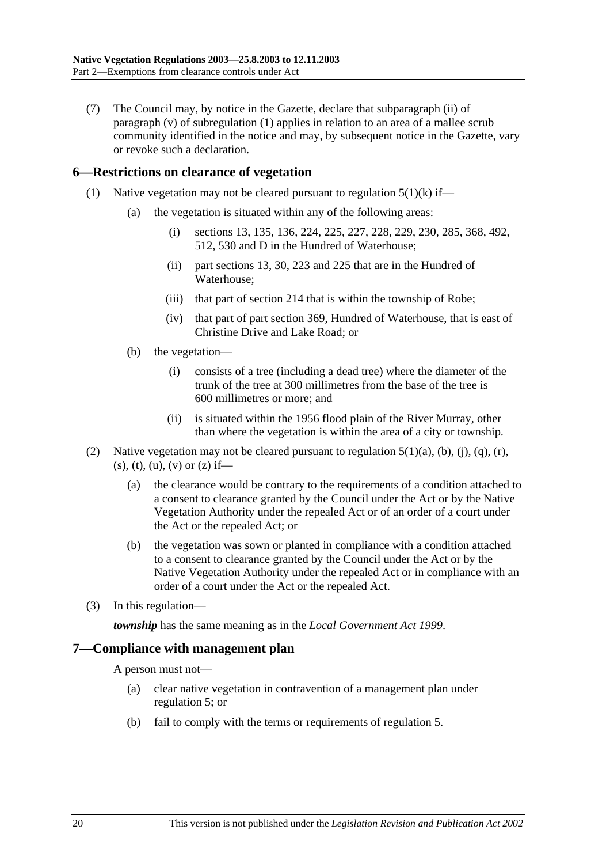(7) The Council may, by notice in the Gazette, declare that subparagraph (ii) of paragraph (v) of subregulation (1) applies in relation to an area of a mallee scrub community identified in the notice and may, by subsequent notice in the Gazette, vary or revoke such a declaration.

#### **6—Restrictions on clearance of vegetation**

- (1) Native vegetation may not be cleared pursuant to regulation  $5(1)(k)$  if—
	- (a) the vegetation is situated within any of the following areas:
		- (i) sections 13, 135, 136, 224, 225, 227, 228, 229, 230, 285, 368, 492, 512, 530 and D in the Hundred of Waterhouse;
		- (ii) part sections 13, 30, 223 and 225 that are in the Hundred of Waterhouse;
		- (iii) that part of section 214 that is within the township of Robe;
		- (iv) that part of part section 369, Hundred of Waterhouse, that is east of Christine Drive and Lake Road; or
	- (b) the vegetation—
		- (i) consists of a tree (including a dead tree) where the diameter of the trunk of the tree at 300 millimetres from the base of the tree is 600 millimetres or more; and
		- (ii) is situated within the 1956 flood plain of the River Murray, other than where the vegetation is within the area of a city or township.
- (2) Native vegetation may not be cleared pursuant to regulation  $5(1)(a)$ ,  $(b)$ ,  $(i)$ ,  $(q)$ ,  $(r)$ ,  $(s)$ ,  $(t)$ ,  $(u)$ ,  $(v)$  or  $(z)$  if—
	- (a) the clearance would be contrary to the requirements of a condition attached to a consent to clearance granted by the Council under the Act or by the Native Vegetation Authority under the repealed Act or of an order of a court under the Act or the repealed Act; or
	- (b) the vegetation was sown or planted in compliance with a condition attached to a consent to clearance granted by the Council under the Act or by the Native Vegetation Authority under the repealed Act or in compliance with an order of a court under the Act or the repealed Act.
- (3) In this regulation—

*township* has the same meaning as in the *Local Government Act 1999*.

### **7—Compliance with management plan**

A person must not—

- (a) clear native vegetation in contravention of a management plan under regulation 5; or
- (b) fail to comply with the terms or requirements of regulation 5.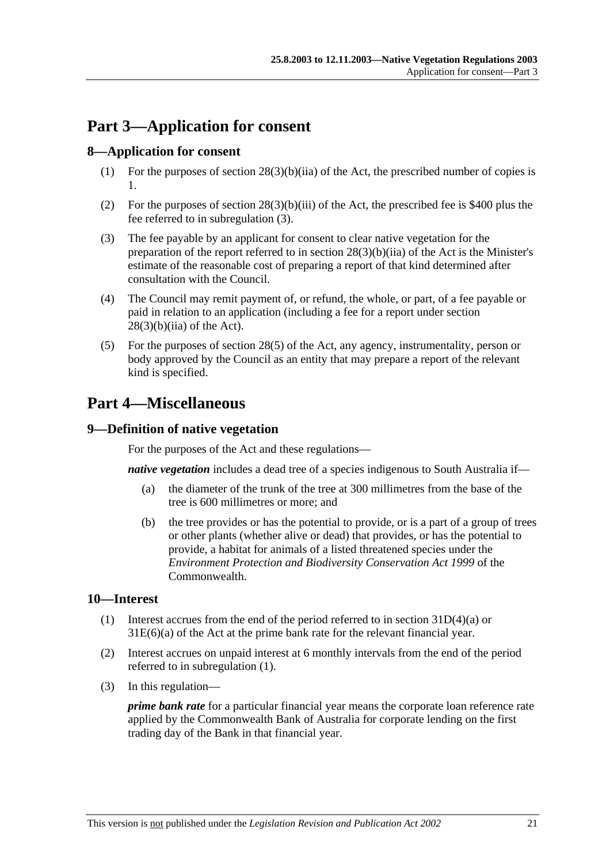## **Part 3—Application for consent**

### **8—Application for consent**

- (1) For the purposes of section  $28(3)(b)(iia)$  of the Act, the prescribed number of copies is 1.
- (2) For the purposes of section 28(3)(b)(iii) of the Act, the prescribed fee is \$400 plus the fee referred to in subregulation (3).
- (3) The fee payable by an applicant for consent to clear native vegetation for the preparation of the report referred to in section 28(3)(b)(iia) of the Act is the Minister's estimate of the reasonable cost of preparing a report of that kind determined after consultation with the Council.
- (4) The Council may remit payment of, or refund, the whole, or part, of a fee payable or paid in relation to an application (including a fee for a report under section  $28(3)(b)(ii)$  of the Act).
- (5) For the purposes of section 28(5) of the Act, any agency, instrumentality, person or body approved by the Council as an entity that may prepare a report of the relevant kind is specified.

## **Part 4—Miscellaneous**

### **9—Definition of native vegetation**

For the purposes of the Act and these regulations—

*native vegetation* includes a dead tree of a species indigenous to South Australia if—

- (a) the diameter of the trunk of the tree at 300 millimetres from the base of the tree is 600 millimetres or more; and
- (b) the tree provides or has the potential to provide, or is a part of a group of trees or other plants (whether alive or dead) that provides, or has the potential to provide, a habitat for animals of a listed threatened species under the *Environment Protection and Biodiversity Conservation Act 1999* of the Commonwealth.

### **10—Interest**

- (1) Interest accrues from the end of the period referred to in section  $31D(4)(a)$  or 31E(6)(a) of the Act at the prime bank rate for the relevant financial year.
- (2) Interest accrues on unpaid interest at 6 monthly intervals from the end of the period referred to in subregulation (1).
- (3) In this regulation—

*prime bank rate* for a particular financial year means the corporate loan reference rate applied by the Commonwealth Bank of Australia for corporate lending on the first trading day of the Bank in that financial year.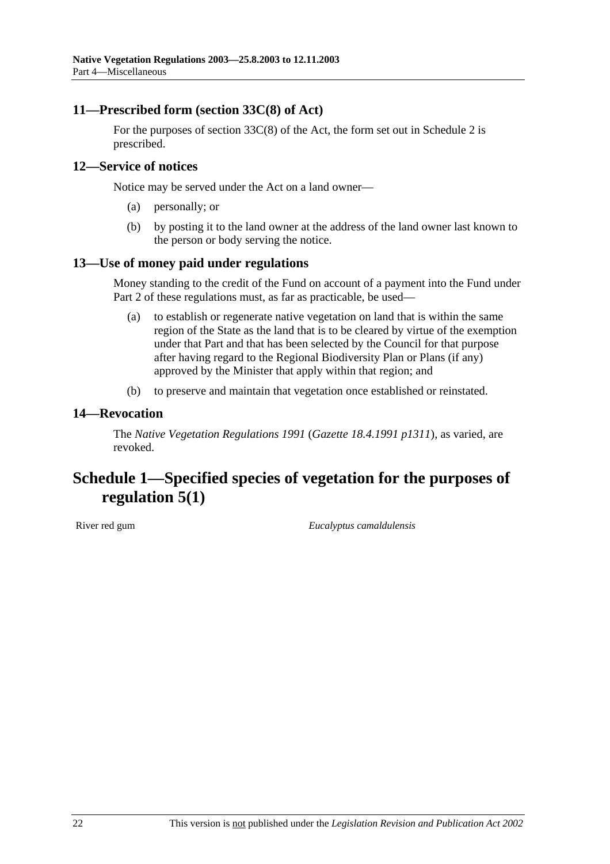### **11—Prescribed form (section 33C(8) of Act)**

For the purposes of section 33C(8) of the Act, the form set out in Schedule 2 is prescribed.

### **12—Service of notices**

Notice may be served under the Act on a land owner—

- (a) personally; or
- (b) by posting it to the land owner at the address of the land owner last known to the person or body serving the notice.

### **13—Use of money paid under regulations**

Money standing to the credit of the Fund on account of a payment into the Fund under Part 2 of these regulations must, as far as practicable, be used—

- (a) to establish or regenerate native vegetation on land that is within the same region of the State as the land that is to be cleared by virtue of the exemption under that Part and that has been selected by the Council for that purpose after having regard to the Regional Biodiversity Plan or Plans (if any) approved by the Minister that apply within that region; and
- (b) to preserve and maintain that vegetation once established or reinstated.

#### **14—Revocation**

The *Native Vegetation Regulations 1991* (*Gazette 18.4.1991 p1311*), as varied, are revoked.

## **Schedule 1—Specified species of vegetation for the purposes of regulation 5(1)**

River red gum *Eucalyptus camaldulensis*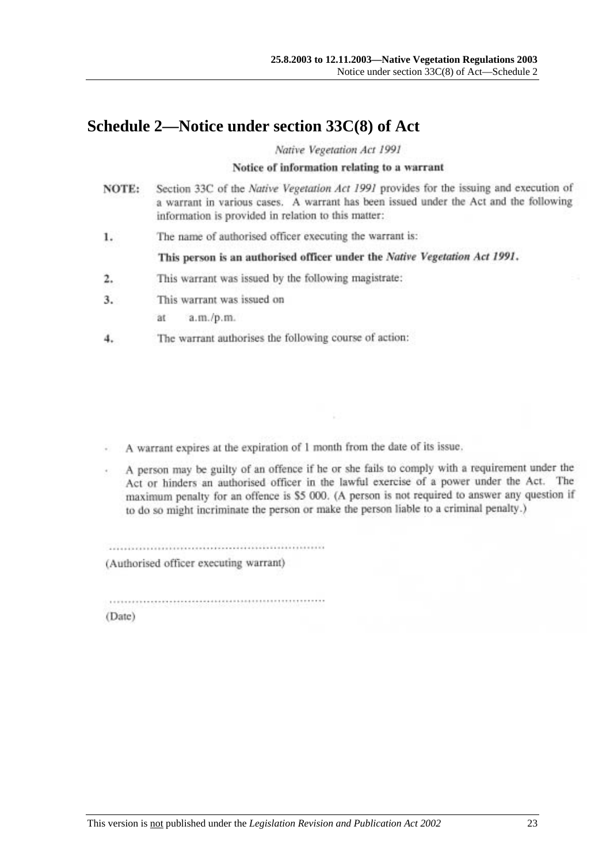## **Schedule 2—Notice under section 33C(8) of Act**

Native Vegetation Act 1991

#### Notice of information relating to a warrant

- Section 33C of the Native Vegetation Act 1991 provides for the issuing and execution of NOTE: a warrant in various cases. A warrant has been issued under the Act and the following information is provided in relation to this matter:
- The name of authorised officer executing the warrant is: 1.

This person is an authorised officer under the Native Vegetation Act 1991.

- This warrant was issued by the following magistrate: 2.
- $3.$ This warrant was issued on

 $a.m./p.m.$ ät

4. The warrant authorises the following course of action:

A warrant expires at the expiration of 1 month from the date of its issue.

A person may be guilty of an offence if he or she fails to comply with a requirement under the Act or hinders an authorised officer in the lawful exercise of a power under the Act. The maximum penalty for an offence is \$5 000. (A person is not required to answer any question if to do so might incriminate the person or make the person liable to a criminal penalty.)

(Authorised officer executing warrant)

(Date)